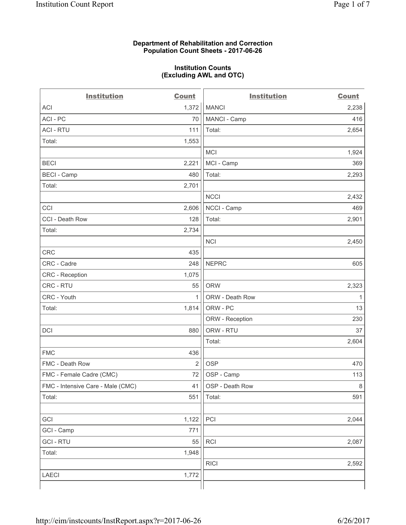### **Department of Rehabilitation and Correction Population Count Sheets - 2017-06-26**

#### **Institution Counts (Excluding AWL and OTC)**

 $-$ 

| <b>Institution</b>                | <b>Count</b> | <b>Institution</b> | <b>Count</b> |
|-----------------------------------|--------------|--------------------|--------------|
| ACI                               | 1,372        | <b>MANCI</b>       | 2,238        |
| ACI - PC                          | 70           | MANCI - Camp       | 416          |
| <b>ACI - RTU</b>                  | 111          | Total:             | 2,654        |
| Total:                            | 1,553        |                    |              |
|                                   |              | MCI                | 1,924        |
| <b>BECI</b>                       | 2,221        | MCI - Camp         | 369          |
| <b>BECI</b> - Camp                | 480          | Total:             | 2,293        |
| Total:                            | 2,701        |                    |              |
|                                   |              | <b>NCCI</b>        | 2,432        |
| CCI                               | 2,606        | NCCI - Camp        | 469          |
| CCI - Death Row                   | 128          | Total:             | 2,901        |
| Total:                            | 2,734        |                    |              |
|                                   |              | <b>NCI</b>         | 2,450        |
| <b>CRC</b>                        | 435          |                    |              |
| CRC - Cadre                       | 248          | <b>NEPRC</b>       | 605          |
| CRC - Reception                   | 1,075        |                    |              |
| CRC - RTU                         | 55           | <b>ORW</b>         | 2,323        |
| CRC - Youth                       | $\mathbf{1}$ | ORW - Death Row    | 1            |
| Total:                            | 1,814        | ORW - PC           | 13           |
|                                   |              | ORW - Reception    | 230          |
| DCI                               | 880          | ORW - RTU          | 37           |
|                                   |              | Total:             | 2,604        |
| <b>FMC</b>                        | 436          |                    |              |
| FMC - Death Row                   | 2            | <b>OSP</b>         | 470          |
| FMC - Female Cadre (CMC)          | 72           | OSP - Camp         | 113          |
| FMC - Intensive Care - Male (CMC) | 41           | OSP - Death Row    | 8            |
| Total:                            | 551          | Total:             | 591          |
|                                   |              |                    |              |
| GCI                               | 1,122        | PCI                | 2,044        |
| GCI - Camp                        | 771          |                    |              |
| <b>GCI - RTU</b>                  | 55           | RCI                | 2,087        |
| Total:                            | 1,948        |                    |              |
|                                   |              | <b>RICI</b>        | 2,592        |
| LAECI                             | 1,772        |                    |              |
|                                   |              |                    |              |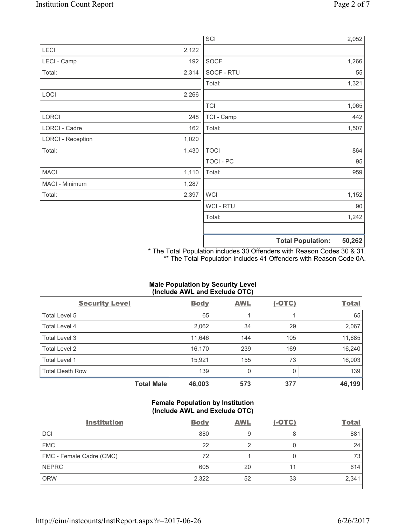|                          |       | SCI              | 2,052                              |
|--------------------------|-------|------------------|------------------------------------|
| LECI                     | 2,122 |                  |                                    |
| LECI - Camp              | 192   | SOCF             | 1,266                              |
| Total:                   | 2,314 | SOCF - RTU       | 55                                 |
|                          |       | Total:           | 1,321                              |
| LOCI                     | 2,266 |                  |                                    |
|                          |       | <b>TCI</b>       | 1,065                              |
| LORCI                    | 248   | TCI - Camp       | 442                                |
| LORCI - Cadre            | 162   | Total:           | 1,507                              |
| <b>LORCI - Reception</b> | 1,020 |                  |                                    |
| Total:                   | 1,430 | <b>TOCI</b>      | 864                                |
|                          |       | <b>TOCI - PC</b> | 95                                 |
| <b>MACI</b>              | 1,110 | Total:           | 959                                |
| MACI - Minimum           | 1,287 |                  |                                    |
| Total:                   | 2,397 | <b>WCI</b>       | 1,152                              |
|                          |       | <b>WCI-RTU</b>   | 90                                 |
|                          |       | Total:           | 1,242                              |
|                          |       |                  | 50,262<br><b>Total Population:</b> |

\* The Total Population includes 30 Offenders with Reason Codes 30 & 31. \*\* The Total Population includes 41 Offenders with Reason Code 0A.

# **Male Population by Security Level (Include AWL and Exclude OTC)**

| $\cdot$<br><b>Security Level</b> | <b>Body</b> | . .<br><b>AWL</b> | $(-OTC)$ | <b>Total</b> |
|----------------------------------|-------------|-------------------|----------|--------------|
| Total Level 5                    | 65          |                   |          | 65           |
| <b>Total Level 4</b>             | 2,062       | 34                | 29       | 2,067        |
| Total Level 3                    | 11,646      | 144               | 105      | 11,685       |
| Total Level 2                    | 16,170      | 239               | 169      | 16,240       |
| <b>Total Level 1</b>             | 15,921      | 155               | 73       | 16,003       |
| <b>Total Death Row</b>           | 139         | 0                 |          | 139          |
| <b>Total Male</b>                | 46,003      | 573               | 377      | 46,199       |

## **Female Population by Institution (Include AWL and Exclude OTC)**

| <b>Institution</b>       | <b>Body</b> | <b>AWL</b> | <u>(-OTC)</u> | <b>Total</b> |
|--------------------------|-------------|------------|---------------|--------------|
| <b>DCI</b>               | 880         | 9          | 8             | 881          |
| <b>FMC</b>               | 22          |            | 0             | 24           |
| FMC - Female Cadre (CMC) | 72          |            | 0             | 73           |
| <b>NEPRC</b>             | 605         | 20         |               | 614          |
| <b>ORW</b>               | 2,322       | 52         | 33            | 2,341        |
|                          |             |            |               |              |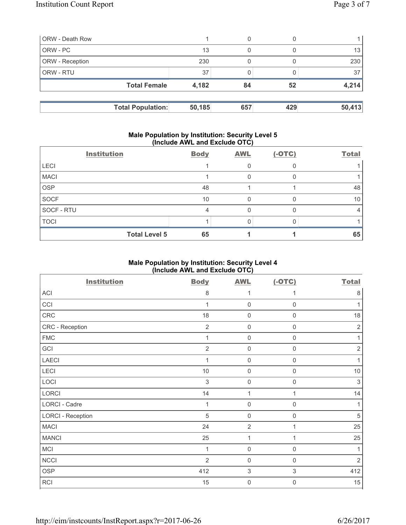| <b>ORW</b> - Death Row |                          |        | 0   |     |        |
|------------------------|--------------------------|--------|-----|-----|--------|
| ORW - PC               |                          | 13     | 0   |     | 13     |
| <b>ORW</b> - Reception |                          | 230    |     |     | 230    |
| <b>ORW - RTU</b>       |                          | 37     |     |     | 37     |
|                        | <b>Total Female</b>      | 4,182  | 84  | 52  | 4,214  |
|                        |                          |        |     |     |        |
|                        | <b>Total Population:</b> | 50,185 | 657 | 429 | 50,413 |

#### **Male Population by Institution: Security Level 5 (Include AWL and Exclude OTC)**

|             | <b>Institution</b>   | <b>Body</b> | <b>AWL</b> | $(-OTC)$ | <b>Total</b> |
|-------------|----------------------|-------------|------------|----------|--------------|
| <b>LECI</b> |                      |             |            |          |              |
| <b>MACI</b> |                      |             |            |          |              |
| <b>OSP</b>  |                      | 48          |            |          | 48           |
| SOCF        |                      | 10          |            |          | 10           |
| SOCF - RTU  |                      | 4           |            |          | 4            |
| <b>TOCI</b> |                      |             |            |          |              |
|             | <b>Total Level 5</b> | 65          |            |          | 65           |

# **Male Population by Institution: Security Level 4 (Include AWL and Exclude OTC)**

| <b>Institution</b>       | <b>Body</b>    | <b>AWL</b>                | $(-OTC)$            | <b>Total</b> |
|--------------------------|----------------|---------------------------|---------------------|--------------|
| ACI                      | 8              | 1                         | 1                   | $\,8\,$      |
| CCI                      | 1              | $\mathsf{O}\xspace$       | $\mathsf 0$         | 1            |
| CRC                      | 18             | $\mathsf{O}\xspace$       | $\mathbf 0$         | 18           |
| CRC - Reception          | $\overline{2}$ | $\mathsf{O}\xspace$       | $\mathsf{O}\xspace$ | $\sqrt{2}$   |
| <b>FMC</b>               | $\mathbf{1}$   | $\mathsf{O}\xspace$       | $\mathsf{O}\xspace$ | 1            |
| GCI                      | $\overline{2}$ | $\mathsf{O}\xspace$       | $\mathsf 0$         | $\sqrt{2}$   |
| <b>LAECI</b>             | 1              | $\mathsf{O}\xspace$       | $\mathsf{O}\xspace$ | 1            |
| LECI                     | $10$           | $\mathsf{O}\xspace$       | $\mathsf{O}\xspace$ | $10$         |
| LOCI                     | $\sqrt{3}$     | $\mathsf{O}\xspace$       | $\mathsf{O}\xspace$ | $\sqrt{3}$   |
| LORCI                    | 14             | $\mathbf{1}$              | 1                   | 14           |
| <b>LORCI - Cadre</b>     | 1              | $\mathsf{O}\xspace$       | $\mathbf 0$         | 1            |
| <b>LORCI - Reception</b> | $\sqrt{5}$     | $\mathsf{O}\xspace$       | $\mathbf 0$         | $\sqrt{5}$   |
| <b>MACI</b>              | 24             | $\mathbf 2$               | 1                   | 25           |
| <b>MANCI</b>             | 25             | 1                         | 1                   | 25           |
| MCI                      | 1              | $\mathsf{O}\xspace$       | $\mathsf{0}$        | 1            |
| <b>NCCI</b>              | $\overline{2}$ | $\mathsf{O}\xspace$       | $\mathbf 0$         | $\sqrt{2}$   |
| <b>OSP</b>               | 412            | $\ensuremath{\mathsf{3}}$ | 3                   | 412          |
| RCI                      | 15             | $\boldsymbol{0}$          | $\boldsymbol{0}$    | 15           |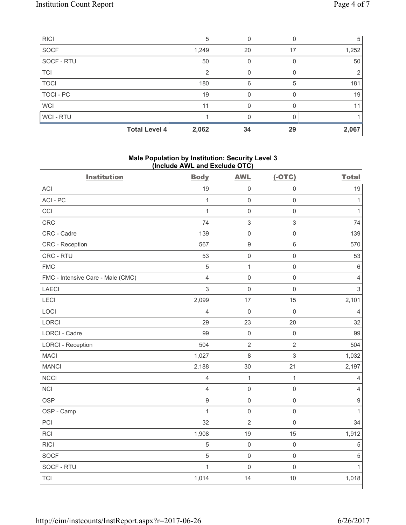| <b>RICI</b>      |                      | 5     |    |    | 5     |
|------------------|----------------------|-------|----|----|-------|
| SOCF             |                      | 1,249 | 20 | 17 | 1,252 |
| SOCF - RTU       |                      | 50    | 0  |    | 50    |
| <b>TCI</b>       |                      | 2     | 0  |    | 2     |
| <b>TOCI</b>      |                      | 180   | 6  | 5  | 181   |
| <b>TOCI - PC</b> |                      | 19    |    |    | 19    |
| <b>WCI</b>       |                      | 11    |    |    | 11    |
| WCI - RTU        |                      |       |    |    |       |
|                  | <b>Total Level 4</b> | 2,062 | 34 | 29 | 2,067 |

## **Male Population by Institution: Security Level 3 (Include AWL and Exclude OTC)**

| <b>Institution</b>                | <b>Body</b>    | <b>AWL</b>                | $(-OTC)$                  | <b>Total</b>   |
|-----------------------------------|----------------|---------------------------|---------------------------|----------------|
| <b>ACI</b>                        | 19             | $\mathsf{O}\xspace$       | $\mathbf 0$               | 19             |
| ACI - PC                          | $\mathbf{1}$   | $\mathsf{O}\xspace$       | $\mathbf 0$               | $\mathbf{1}$   |
| CCI                               | $\mathbf{1}$   | $\mathsf{O}\xspace$       | $\mathbf 0$               | $\mathbf{1}$   |
| CRC                               | 74             | $\ensuremath{\mathsf{3}}$ | $\ensuremath{\mathsf{3}}$ | 74             |
| CRC - Cadre                       | 139            | $\mathsf{O}\xspace$       | $\mathbf 0$               | 139            |
| CRC - Reception                   | 567            | $\boldsymbol{9}$          | $\,6\,$                   | 570            |
| CRC - RTU                         | 53             | $\mathsf{O}\xspace$       | $\mathsf{O}\xspace$       | 53             |
| <b>FMC</b>                        | $\overline{5}$ | $\mathbf{1}$              | $\mathbf 0$               | $\,6\,$        |
| FMC - Intensive Care - Male (CMC) | $\overline{4}$ | $\mathbf 0$               | $\mathbf 0$               | $\overline{4}$ |
| <b>LAECI</b>                      | 3              | $\mathsf{O}\xspace$       | $\mathbf 0$               | $\mathfrak{S}$ |
| LECI                              | 2,099          | 17                        | 15                        | 2,101          |
| LOCI                              | $\overline{4}$ | $\mathsf{O}\xspace$       | $\mathbf 0$               | $\overline{4}$ |
| <b>LORCI</b>                      | 29             | 23                        | 20                        | 32             |
| <b>LORCI - Cadre</b>              | 99             | $\mathbf 0$               | $\mathsf{O}\xspace$       | 99             |
| <b>LORCI - Reception</b>          | 504            | $\overline{2}$            | $\overline{2}$            | 504            |
| <b>MACI</b>                       | 1,027          | $\,8\,$                   | $\mathsf 3$               | 1,032          |
| <b>MANCI</b>                      | 2,188          | 30                        | 21                        | 2,197          |
| <b>NCCI</b>                       | $\overline{4}$ | $\mathbf{1}$              | $\mathbf{1}$              | $\overline{4}$ |
| <b>NCI</b>                        | $\overline{4}$ | $\mathsf{O}\xspace$       | $\mathsf 0$               | $\overline{4}$ |
| <b>OSP</b>                        | $\mathsf g$    | $\mathsf 0$               | $\mathsf 0$               | $\hbox{9}$     |
| OSP - Camp                        | $\mathbf{1}$   | $\mathsf 0$               | $\mathsf 0$               | $\mathbf{1}$   |
| PCI                               | 32             | $\overline{2}$            | $\mathbf 0$               | 34             |
| <b>RCI</b>                        | 1,908          | 19                        | 15                        | 1,912          |
| <b>RICI</b>                       | $\sqrt{5}$     | $\mathsf{O}\xspace$       | $\mathsf 0$               | $\sqrt{5}$     |
| <b>SOCF</b>                       | 5              | $\mathbf 0$               | $\mathsf 0$               | $\sqrt{5}$     |
| SOCF - RTU                        | $\mathbf{1}$   | $\mathsf{O}\xspace$       | $\mathbf 0$               | $\mathbf{1}$   |
| <b>TCI</b>                        | 1,014          | 14                        | 10                        | 1,018          |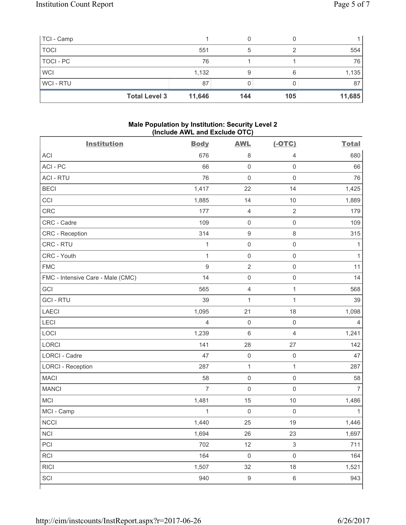| TCI - Camp     |                                |     |     |        |
|----------------|--------------------------------|-----|-----|--------|
| <b>TOCI</b>    | 551                            | 5   |     | 554    |
| TOCI - PC      | 76                             |     |     | 76     |
| <b>WCI</b>     | 1,132                          | 9   |     | 1,135  |
| <b>WCI-RTU</b> | 87                             |     |     | 87     |
|                | <b>Total Level 3</b><br>11,646 | 144 | 105 | 11,685 |

## **Male Population by Institution: Security Level 2 (Include AWL and Exclude OTC)**

| <b>Institution</b>                | <b>Body</b>    | <b>AWL</b>          | $(-OTC)$       | <b>Total</b>   |
|-----------------------------------|----------------|---------------------|----------------|----------------|
| <b>ACI</b>                        | 676            | $\,8\,$             | 4              | 680            |
| ACI-PC                            | 66             | $\mathbf 0$         | $\mathbf 0$    | 66             |
| <b>ACI - RTU</b>                  | 76             | $\mathbf 0$         | $\mathsf 0$    | 76             |
| <b>BECI</b>                       | 1,417          | 22                  | 14             | 1,425          |
| CCI                               | 1,885          | 14                  | 10             | 1,889          |
| <b>CRC</b>                        | 177            | $\overline{4}$      | $\overline{2}$ | 179            |
| CRC - Cadre                       | 109            | $\mathsf{O}\xspace$ | $\mathsf 0$    | 109            |
| CRC - Reception                   | 314            | $\boldsymbol{9}$    | $\,8\,$        | 315            |
| CRC - RTU                         | $\mathbf{1}$   | $\mathsf{O}\xspace$ | $\mathsf 0$    | 1              |
| CRC - Youth                       | $\mathbf{1}$   | $\mathsf{O}\xspace$ | $\mathsf 0$    | $\mathbf{1}$   |
| <b>FMC</b>                        | $\hbox{9}$     | $\mathbf 2$         | $\mathsf 0$    | 11             |
| FMC - Intensive Care - Male (CMC) | 14             | $\mathsf{O}\xspace$ | $\mathsf 0$    | 14             |
| GCI                               | 565            | $\overline{4}$      | $\mathbf{1}$   | 568            |
| <b>GCI-RTU</b>                    | 39             | $\mathbf{1}$        | 1              | 39             |
| <b>LAECI</b>                      | 1,095          | 21                  | 18             | 1,098          |
| LECI                              | $\overline{4}$ | $\mathsf{O}\xspace$ | $\mathbf 0$    | 4              |
| LOCI                              | 1,239          | $\,$ 6 $\,$         | $\overline{4}$ | 1,241          |
| <b>LORCI</b>                      | 141            | 28                  | 27             | 142            |
| LORCI - Cadre                     | 47             | $\mathsf{O}\xspace$ | $\mathsf 0$    | 47             |
| <b>LORCI - Reception</b>          | 287            | $\mathbf{1}$        | $\mathbf{1}$   | 287            |
| <b>MACI</b>                       | 58             | $\mathsf 0$         | $\mathsf 0$    | 58             |
| <b>MANCI</b>                      | $\overline{7}$ | $\mathsf{O}\xspace$ | $\mathsf 0$    | $\overline{7}$ |
| <b>MCI</b>                        | 1,481          | 15                  | 10             | 1,486          |
| MCI - Camp                        | 1              | $\mathbf 0$         | $\mathbf 0$    | 1              |
| <b>NCCI</b>                       | 1,440          | 25                  | 19             | 1,446          |
| NCI                               | 1,694          | 26                  | 23             | 1,697          |
| PCI                               | 702            | 12                  | $\mathsf 3$    | 711            |
| RCI                               | 164            | $\mathsf{O}\xspace$ | $\mathsf 0$    | 164            |
| <b>RICI</b>                       | 1,507          | 32                  | 18             | 1,521          |
| SCI                               | 940            | $\boldsymbol{9}$    | $\,6\,$        | 943            |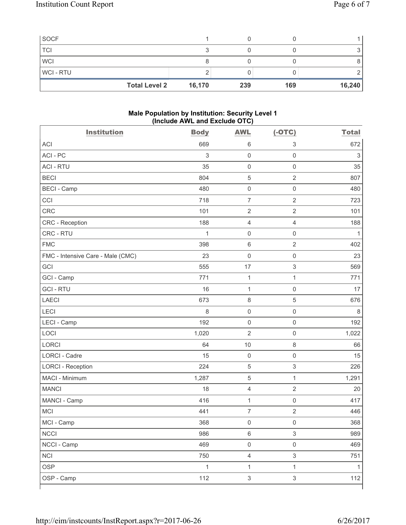| <b>Total Level 2</b> | 16,170 | 239 | 169 | 16,240 |
|----------------------|--------|-----|-----|--------|
| <b>WCI-RTU</b>       |        |     |     |        |
| <b>WCI</b>           |        |     |     |        |
| <b>TCI</b>           |        |     |     |        |
| <b>SOCF</b>          |        |     |     |        |

### **Male Population by Institution: Security Level 1 (Include AWL and Exclude OTC)**

| <b>Institution</b>                | <b>Body</b>  | <b>AWL</b>          | $(-OTC)$                  | <b>Total</b> |
|-----------------------------------|--------------|---------------------|---------------------------|--------------|
| <b>ACI</b>                        | 669          | 6                   | $\mathsf 3$               | 672          |
| ACI - PC                          | $\sqrt{3}$   | $\mathbf 0$         | $\mathsf{O}\xspace$       | $\sqrt{3}$   |
| <b>ACI - RTU</b>                  | 35           | $\mathsf 0$         | $\mathsf{O}\xspace$       | 35           |
| <b>BECI</b>                       | 804          | $\sqrt{5}$          | $\overline{2}$            | 807          |
| <b>BECI - Camp</b>                | 480          | $\mathsf 0$         | $\mathbf 0$               | 480          |
| CCI                               | 718          | $\overline{7}$      | $\overline{2}$            | 723          |
| CRC                               | 101          | $\sqrt{2}$          | $\sqrt{2}$                | 101          |
| CRC - Reception                   | 188          | $\overline{4}$      | $\overline{4}$            | 188          |
| CRC - RTU                         | $\mathbf 1$  | $\mathbf 0$         | $\mathsf{O}\xspace$       | $\mathbf{1}$ |
| <b>FMC</b>                        | 398          | $\,6\,$             | $\overline{2}$            | 402          |
| FMC - Intensive Care - Male (CMC) | 23           | $\mathsf{O}\xspace$ | $\mathsf{O}\xspace$       | 23           |
| GCI                               | 555          | 17                  | $\ensuremath{\mathsf{3}}$ | 569          |
| GCI - Camp                        | 771          | $\mathbf{1}$        | $\mathbf{1}$              | 771          |
| <b>GCI-RTU</b>                    | 16           | $\mathbf{1}$        | $\mathsf{O}\xspace$       | 17           |
| <b>LAECI</b>                      | 673          | $\,8\,$             | $\sqrt{5}$                | 676          |
| LECI                              | 8            | $\mathsf{O}\xspace$ | $\mathsf 0$               | 8            |
| LECI - Camp                       | 192          | $\mathsf 0$         | $\mathsf{O}\xspace$       | 192          |
| LOCI                              | 1,020        | $\overline{2}$      | $\mathsf 0$               | 1,022        |
| <b>LORCI</b>                      | 64           | 10                  | $\,8\,$                   | 66           |
| LORCI - Cadre                     | 15           | $\mathbf 0$         | $\mathsf{O}\xspace$       | 15           |
| <b>LORCI - Reception</b>          | 224          | $\sqrt{5}$          | $\mathsf 3$               | 226          |
| MACI - Minimum                    | 1,287        | $\,$ 5 $\,$         | $\mathbf{1}$              | 1,291        |
| <b>MANCI</b>                      | 18           | $\overline{4}$      | $\overline{2}$            | 20           |
| MANCI - Camp                      | 416          | $\mathbf{1}$        | $\mathbf 0$               | 417          |
| MCI                               | 441          | $\overline{7}$      | $\sqrt{2}$                | 446          |
| MCI - Camp                        | 368          | $\mathsf{O}\xspace$ | $\mathsf{O}\xspace$       | 368          |
| <b>NCCI</b>                       | 986          | $\,6\,$             | $\ensuremath{\mathsf{3}}$ | 989          |
| NCCI - Camp                       | 469          | $\mathsf{O}\xspace$ | $\mathsf 0$               | 469          |
| <b>NCI</b>                        | 750          | $\overline{4}$      | $\mathsf 3$               | 751          |
| <b>OSP</b>                        | $\mathbf{1}$ | $\mathbf{1}$        | $\mathbf{1}$              | $\mathbf{1}$ |
| OSP - Camp                        | 112          | $\sqrt{3}$          | $\ensuremath{\mathsf{3}}$ | 112          |
|                                   |              |                     |                           |              |